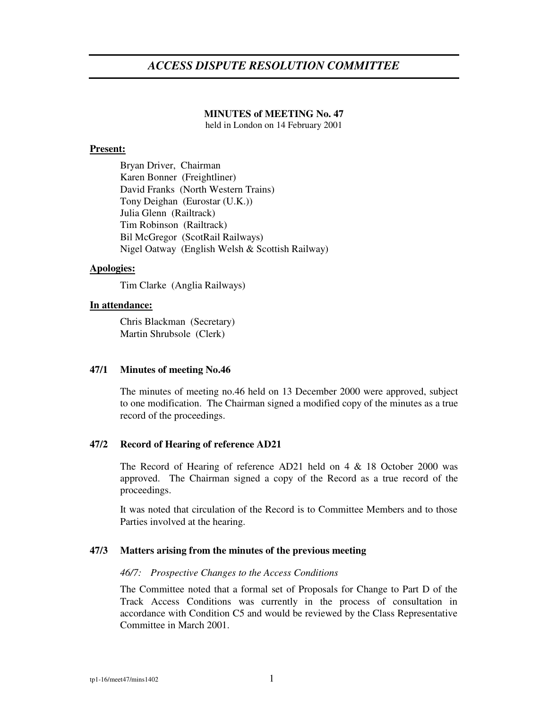## *ACCESS DISPUTE RESOLUTION COMMITTEE*

## **MINUTES of MEETING No. 47**

held in London on 14 February 2001

#### **Present:**

Bryan Driver, Chairman Karen Bonner (Freightliner) David Franks (North Western Trains) Tony Deighan (Eurostar (U.K.)) Julia Glenn (Railtrack) Tim Robinson (Railtrack) Bil McGregor (ScotRail Railways) Nigel Oatway (English Welsh & Scottish Railway)

#### **Apologies:**

Tim Clarke (Anglia Railways)

#### **In attendance:**

Chris Blackman (Secretary) Martin Shrubsole (Clerk)

#### **47/1 Minutes of meeting No.46**

The minutes of meeting no.46 held on 13 December 2000 were approved, subject to one modification. The Chairman signed a modified copy of the minutes as a true record of the proceedings.

#### **47/2 Record of Hearing of reference AD21**

The Record of Hearing of reference AD21 held on 4 & 18 October 2000 was approved. The Chairman signed a copy of the Record as a true record of the proceedings.

It was noted that circulation of the Record is to Committee Members and to those Parties involved at the hearing.

## **47/3 Matters arising from the minutes of the previous meeting**

#### *46/7: Prospective Changes to the Access Conditions*

The Committee noted that a formal set of Proposals for Change to Part D of the Track Access Conditions was currently in the process of consultation in accordance with Condition C5 and would be reviewed by the Class Representative Committee in March 2001.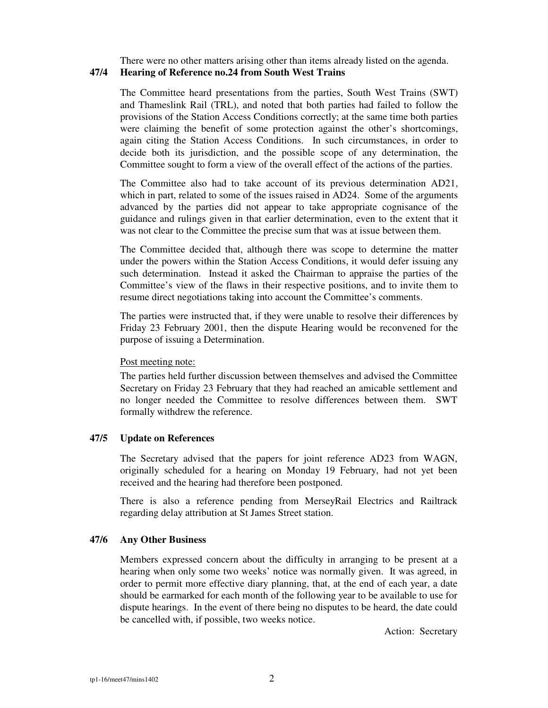There were no other matters arising other than items already listed on the agenda.

## **47/4 Hearing of Reference no.24 from South West Trains**

The Committee heard presentations from the parties, South West Trains (SWT) and Thameslink Rail (TRL), and noted that both parties had failed to follow the provisions of the Station Access Conditions correctly; at the same time both parties were claiming the benefit of some protection against the other's shortcomings, again citing the Station Access Conditions. In such circumstances, in order to decide both its jurisdiction, and the possible scope of any determination, the Committee sought to form a view of the overall effect of the actions of the parties.

The Committee also had to take account of its previous determination AD21, which in part, related to some of the issues raised in AD24. Some of the arguments advanced by the parties did not appear to take appropriate cognisance of the guidance and rulings given in that earlier determination, even to the extent that it was not clear to the Committee the precise sum that was at issue between them.

The Committee decided that, although there was scope to determine the matter under the powers within the Station Access Conditions, it would defer issuing any such determination. Instead it asked the Chairman to appraise the parties of the Committee's view of the flaws in their respective positions, and to invite them to resume direct negotiations taking into account the Committee's comments.

The parties were instructed that, if they were unable to resolve their differences by Friday 23 February 2001, then the dispute Hearing would be reconvened for the purpose of issuing a Determination.

## Post meeting note:

The parties held further discussion between themselves and advised the Committee Secretary on Friday 23 February that they had reached an amicable settlement and no longer needed the Committee to resolve differences between them. SWT formally withdrew the reference.

## **47/5 Update on References**

The Secretary advised that the papers for joint reference AD23 from WAGN, originally scheduled for a hearing on Monday 19 February, had not yet been received and the hearing had therefore been postponed.

There is also a reference pending from MerseyRail Electrics and Railtrack regarding delay attribution at St James Street station.

## **47/6 Any Other Business**

Members expressed concern about the difficulty in arranging to be present at a hearing when only some two weeks' notice was normally given. It was agreed, in order to permit more effective diary planning, that, at the end of each year, a date should be earmarked for each month of the following year to be available to use for dispute hearings. In the event of there being no disputes to be heard, the date could be cancelled with, if possible, two weeks notice.

Action: Secretary